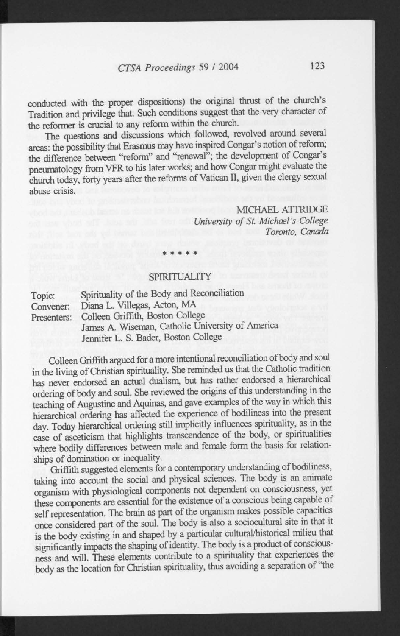## 123 *CTS A Proceedings* 59 / 2004

conducted with the proper dispositions) the original thrust of the church's Tradition and privilege that. Such conditions suggest that the very character of the reformer is crucial to any reform within the church.

The questions and discussions which followed, revolved around several areas: the possibility that Erasmus may have inspired Congar's notion of reform; the difference between "reform" and "renewal"; the development of Congar's pneumatology from VFR to his later works; and how Congar might evaluate the church today, forty years after the reforms of Vatican II, given the clergy sexual abuse crisis.

MICHAEL ATTRIDGE *University of St. Michael's College Toronto, Canada* 

## **SPIRITUALITY**

\* \* \* \* \*

| Topic:<br>Convener:<br>Presenters: | Spirituality of the Body and Reconciliation<br>Diana L. Villegas, Acton, MA              |
|------------------------------------|------------------------------------------------------------------------------------------|
|                                    | Colleen Griffith, Boston College                                                         |
|                                    | James A. Wiseman, Catholic University of America<br>Jennifer L. S. Bader, Boston College |

Colleen Griffith argued for a more intentional reconciliation of body and soul in the living of Christian spirituality. She reminded us that the Catholic tradition has never endorsed an actual dualism, but has rather endorsed a hierarchical ordering of body and soul. She reviewed the origins of this understanding in the teaching of Augustine and Aquinas, and gave examples of the way in which this hierarchical ordering has affected the experience of bodiliness into the present day. Today hierarchical ordering still implicitly influences spirituality, as in the case of asceticism that highlights transcendence of the body, or spiritualities where bodily differences between male and female form the basis for relationships of domination or inequality.

Griffith suggested elements for a contemporary understanding of bodiliness, taking into account the social and physical sciences. The body is an animate organism with physiological components not dependent on consciousness, yet these components are essential for the existence of a conscious being capable of self representation. The brain as part of the organism makes possible capacities once considered part of the soul. The body is also a sociocultural site in that it is the body existing in and shaped by a particular cultural/historical milieu that significantly inpacts the shaping of identity. The body is a product of consciousness and will. These elements contribute to a spirituality that experiences the body as the location for Christian spirituality, thus avoiding a separation of "the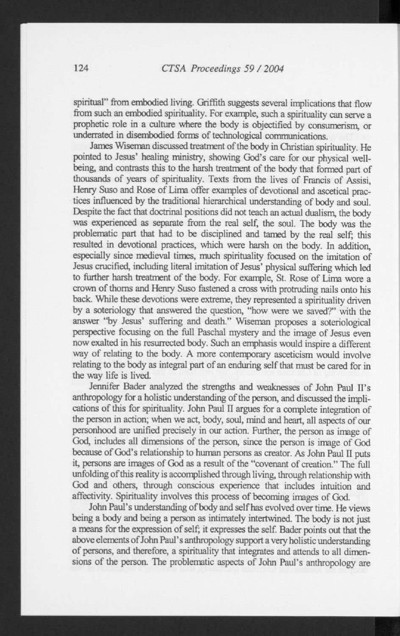spiritual" from embodied living. Griffith suggests several implications that flow from such an embodied spirituality. For example, such a spirituality can serve a prophetic role in a culture where the body is objectified by consumerism, or underrated in disembodied forms of technological communications.

James Wiseman discussed treatment of the body in Christian spirituality. He pointed to Jesus' healing ministry, showing God's care for our physical wellbeing, and contrasts this to the harsh treatment of the body that formed part of thousands of years of spirituality. Texts from the lives of Francis of Assisi, Henry Suso and Rose of Lima offer examples of devotional and ascetical practices influenced by the traditional hierarchical understanding of body and soul. Despite the fact that doctrinal positions did not teach an actual dualism, the body was experienced as separate from the real self, the soul. The body was the problematic part that had to be disciplined and tamed by the real self; this resulted in devotional practices, which were harsh on the body. In addition, especially since medieval times, much spirituality focused on the imitation of Jesus crucified, including literal imitation of Jesus' physical suffering which led to further harsh treatment of the body. For example, St. Rose of Lima wore a crown of thorns and Henry Suso fastened a cross with protruding nails onto his back. While these devotions were extreme, they represented a spirituality driven by a soteriology that answered the question, "how were we saved?" with the answer "by Jesus' suffering and death." Wiseman proposes a soteriological perspective focusing on the full Paschal mystery and the image of Jesus even now exalted in his resurrected body. Such an emphasis would inspire a different way of relating to the body. A more contemporary asceticism would involve relating to the body as integral part of an enduring self that must be cared for in the way life is lived.

Jennifer Bader analyzed the strengths and weaknesses of John Paul II's anthropology for a holistic understanding of the person, and discussed the implications of this for spirituality. John Paul II argues for a complete integration of the person in action; when we act, body, soul, mind and heart, all aspects of our personhood are unified precisely in our action. Further, the person as image of God, includes all dimensions of the person, since the person is image of God because of God's relationship to human persons as creator. As John Paul II puts it, persons are images of God as a result of the "covenant of creation." The full unfolding of this reality is accomplished through living, through relationship with God and others, through conscious experience that includes intuition and affectivity. Spirituality involves this process of becoming images of God.

John Paul's understanding of body and selfhas evolved over time. He views being a body and being a person as intimately intertwined. The body is not just a means for the expression of self; it expresses the self. Bader points out that the above elements of John Paul's anthropology support a very holistic understanding of persons, and therefore, a spirituality that integrates and attends to all dimensions of the person. The problematic aspects of John Paul's anthropology are